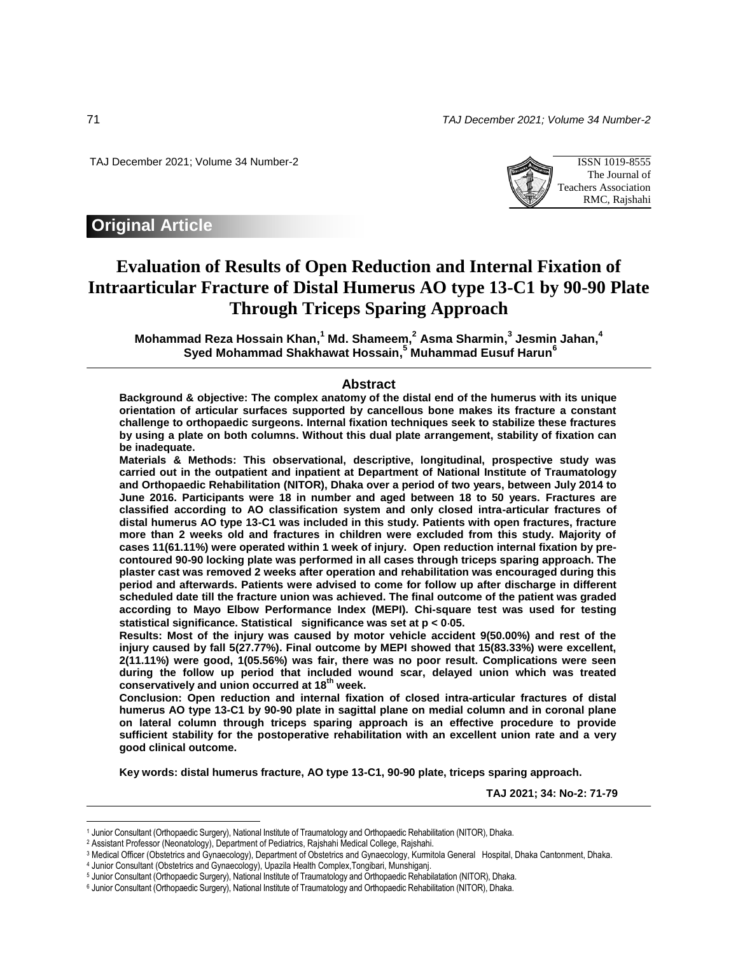71 *TAJ December 2021; Volume 34 Number-2*

TAJ December 2021; Volume 34 Number-2 ISSN 1019-8555



# **Original Article**

# **Evaluation of Results of Open Reduction and Internal Fixation of Intraarticular Fracture of Distal Humerus AO type 13-C1 by 90-90 Plate Through Triceps Sparing Approach**

**Mohammad Reza Hossain Khan, <sup>1</sup> Md. Shameem, <sup>2</sup> Asma Sharmin, 3 Jesmin Jahan, 4 Syed Mohammad Shakhawat Hossain, <sup>5</sup> Muhammad Eusuf Harun<sup>6</sup>**

### **Abstract**

**Background & objective: The complex anatomy of the distal end of the humerus with its unique orientation of articular surfaces supported by cancellous bone makes its fracture a constant challenge to orthopaedic surgeons. Internal fixation techniques seek to stabilize these fractures by using a plate on both columns. Without this dual plate arrangement, stability of fixation can be inadequate.** 

**Materials & Methods: This observational, descriptive, longitudinal, prospective study was carried out in the outpatient and inpatient at Department of National Institute of Traumatology and Orthopaedic Rehabilitation (NITOR), Dhaka over a period of two years, between July 2014 to June 2016. Participants were 18 in number and aged between 18 to 50 years. Fractures are classified according to AO classification system and only closed intra-articular fractures of distal humerus AO type 13-C1 was included in this study. Patients with open fractures, fracture more than 2 weeks old and fractures in children were excluded from this study. Majority of cases 11(61.11%) were operated within 1 week of injury. Open reduction internal fixation by precontoured 90-90 locking plate was performed in all cases through triceps sparing approach. The plaster cast was removed 2 weeks after operation and rehabilitation was encouraged during this period and afterwards. Patients were advised to come for follow up after discharge in different scheduled date till the fracture union was achieved. The final outcome of the patient was graded according to Mayo Elbow Performance Index (MEPI). Chi-square test was used for testing statistical significance. Statistical significance was set at p < 005.** 

**Results: Most of the injury was caused by motor vehicle accident 9(50.00%) and rest of the injury caused by fall 5(27.77%). Final outcome by MEPI showed that 15(83.33%) were excellent, 2(11.11%) were good, 1(05.56%) was fair, there was no poor result. Complications were seen during the follow up period that included wound scar, delayed union which was treated conservatively and union occurred at 18th week.** 

**Conclusion: Open reduction and internal fixation of closed intra-articular fractures of distal humerus AO type 13-C1 by 90-90 plate in sagittal plane on medial column and in coronal plane on lateral column through triceps sparing approach is an effective procedure to provide sufficient stability for the postoperative rehabilitation with an excellent union rate and a very good clinical outcome.** 

**Key words: distal humerus fracture, AO type 13-C1, 90-90 plate, triceps sparing approach.**

**TAJ 2021; 34: No-2: 71-79**

 $\overline{a}$ 

<sup>1</sup> Junior Consultant (Orthopaedic Surgery), National Institute of Traumatology and Orthopaedic Rehabilitation (NITOR), Dhaka.

<sup>2</sup> Assistant Professor (Neonatology), Department of Pediatrics, Rajshahi Medical College, Rajshahi.

<sup>3</sup> Medical Officer (Obstetrics and Gynaecology), Department of Obstetrics and Gynaecology, Kurmitola General Hospital, Dhaka Cantonment, Dhaka.

<sup>4</sup> Junior Consultant (Obstetrics and Gynaecology), Upazila Health Complex,Tongibari, Munshiganj.

<sup>5</sup> Junior Consultant (Orthopaedic Surgery), National Institute of Traumatology and Orthopaedic Rehabilatation (NITOR), Dhaka.

<sup>6</sup> Junior Consultant (Orthopaedic Surgery), National Institute of Traumatology and Orthopaedic Rehabilitation (NITOR), Dhaka.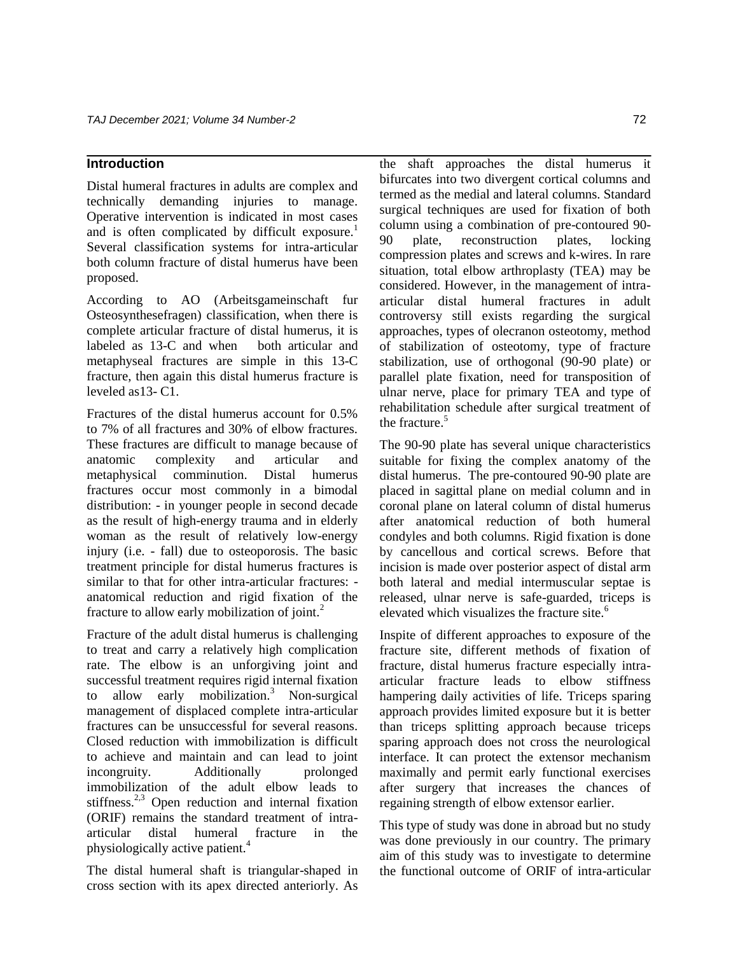# **Introduction**

Distal humeral fractures in adults are complex and technically demanding injuries to manage. Operative intervention is indicated in most cases and is often complicated by difficult exposure.<sup>1</sup> Several classification systems for intra-articular both column fracture of distal humerus have been proposed.

According to AO (Arbeitsgameinschaft fur Osteosynthesefragen) classification, when there is complete articular fracture of distal humerus, it is labeled as 13-C and when both articular and metaphyseal fractures are simple in this 13-C fracture, then again this distal humerus fracture is leveled as13- C1.

Fractures of the distal humerus account for 0.5% to 7% of all fractures and 30% of elbow fractures. These fractures are difficult to manage because of anatomic complexity and articular and metaphysical comminution. Distal humerus fractures occur most commonly in a bimodal distribution: - in younger people in second decade as the result of high-energy trauma and in elderly woman as the result of relatively low-energy injury (i.e. - fall) due to osteoporosis. The basic treatment principle for distal humerus fractures is similar to that for other intra-articular fractures: anatomical reduction and rigid fixation of the fracture to allow early mobilization of joint. $^{2}$ 

Fracture of the adult distal humerus is challenging to treat and carry a relatively high complication rate. The elbow is an unforgiving joint and successful treatment requires rigid internal fixation to allow early mobilization. $3$  Non-surgical management of displaced complete intra-articular fractures can be unsuccessful for several reasons. Closed reduction with immobilization is difficult to achieve and maintain and can lead to joint incongruity. Additionally prolonged immobilization of the adult elbow leads to stiffness. $2,3}$  Open reduction and internal fixation (ORIF) remains the standard treatment of intraarticular distal humeral fracture in the physiologically active patient.<sup>4</sup>

The distal humeral shaft is triangular-shaped in cross section with its apex directed anteriorly. As

the shaft approaches the distal humerus it bifurcates into two divergent cortical columns and termed as the medial and lateral columns. Standard surgical techniques are used for fixation of both column using a combination of pre-contoured 90- 90 plate, reconstruction plates, locking compression plates and screws and k-wires. In rare situation, total elbow arthroplasty (TEA) may be considered. However, in the management of intraarticular distal humeral fractures in adult controversy still exists regarding the surgical approaches, types of olecranon osteotomy, method of stabilization of osteotomy, type of fracture stabilization, use of orthogonal (90-90 plate) or parallel plate fixation, need for transposition of ulnar nerve, place for primary TEA and type of rehabilitation schedule after surgical treatment of the fracture.<sup>5</sup>

The 90-90 plate has several unique characteristics suitable for fixing the complex anatomy of the distal humerus. The pre-contoured 90-90 plate are placed in sagittal plane on medial column and in coronal plane on lateral column of distal humerus after anatomical reduction of both humeral condyles and both columns. Rigid fixation is done by cancellous and cortical screws. Before that incision is made over posterior aspect of distal arm both lateral and medial intermuscular septae is released, ulnar nerve is safe-guarded, triceps is elevated which visualizes the fracture site. $6$ 

Inspite of different approaches to exposure of the fracture site, different methods of fixation of fracture, distal humerus fracture especially intraarticular fracture leads to elbow stiffness hampering daily activities of life. Triceps sparing approach provides limited exposure but it is better than triceps splitting approach because triceps sparing approach does not cross the neurological interface. It can protect the extensor mechanism maximally and permit early functional exercises after surgery that increases the chances of regaining strength of elbow extensor earlier.

This type of study was done in abroad but no study was done previously in our country. The primary aim of this study was to investigate to determine the functional outcome of ORIF of intra-articular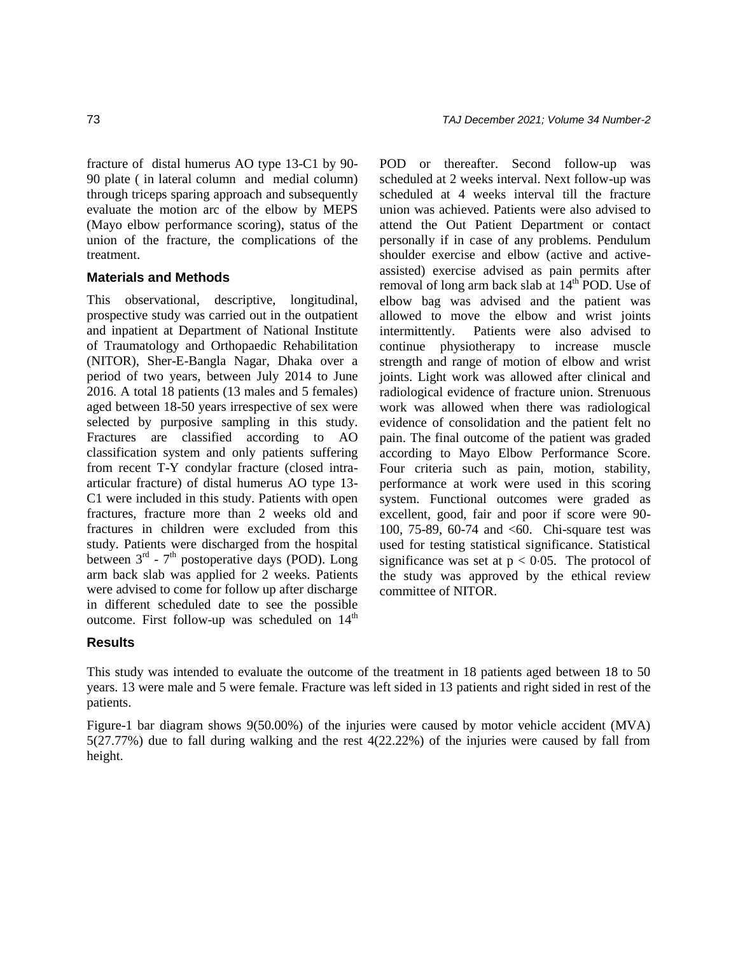fracture of distal humerus AO type 13-C1 by 90- 90 plate ( in lateral column and medial column) through triceps sparing approach and subsequently evaluate the motion arc of the elbow by MEPS (Mayo elbow performance scoring), status of the union of the fracture, the complications of the treatment.

## **Materials and Methods**

This observational, descriptive, longitudinal, prospective study was carried out in the outpatient and inpatient at Department of National Institute of Traumatology and Orthopaedic Rehabilitation (NITOR), Sher-E-Bangla Nagar, Dhaka over a period of two years, between July 2014 to June 2016. A total 18 patients (13 males and 5 females) aged between 18-50 years irrespective of sex were selected by purposive sampling in this study. Fractures are classified according to AO classification system and only patients suffering from recent T-Y condylar fracture (closed intraarticular fracture) of distal humerus AO type 13- C1 were included in this study. Patients with open fractures, fracture more than 2 weeks old and fractures in children were excluded from this study. Patients were discharged from the hospital between  $3<sup>rd</sup>$  -  $7<sup>th</sup>$  postoperative days (POD). Long arm back slab was applied for 2 weeks. Patients were advised to come for follow up after discharge in different scheduled date to see the possible outcome. First follow-up was scheduled on  $14<sup>th</sup>$ 

POD or thereafter. Second follow-up was scheduled at 2 weeks interval. Next follow-up was scheduled at 4 weeks interval till the fracture union was achieved. Patients were also advised to attend the Out Patient Department or contact personally if in case of any problems. Pendulum shoulder exercise and elbow (active and activeassisted) exercise advised as pain permits after removal of long arm back slab at  $14<sup>th</sup>$  POD. Use of elbow bag was advised and the patient was allowed to move the elbow and wrist joints intermittently. Patients were also advised to continue physiotherapy to increase muscle strength and range of motion of elbow and wrist joints. Light work was allowed after clinical and radiological evidence of fracture union. Strenuous work was allowed when there was radiological evidence of consolidation and the patient felt no pain. The final outcome of the patient was graded according to Mayo Elbow Performance Score. Four criteria such as pain, motion, stability, performance at work were used in this scoring system. Functional outcomes were graded as excellent, good, fair and poor if score were 90- 100, 75-89, 60-74 and <60. Chi-square test was used for testing statistical significance. Statistical significance was set at  $p < 0.05$ . The protocol of the study was approved by the ethical review committee of NITOR.

# **Results**

This study was intended to evaluate the outcome of the treatment in 18 patients aged between 18 to 50 years. 13 were male and 5 were female. Fracture was left sided in 13 patients and right sided in rest of the patients.

Figure-1 bar diagram shows 9(50.00%) of the injuries were caused by motor vehicle accident (MVA) 5(27.77%) due to fall during walking and the rest 4(22.22%) of the injuries were caused by fall from height.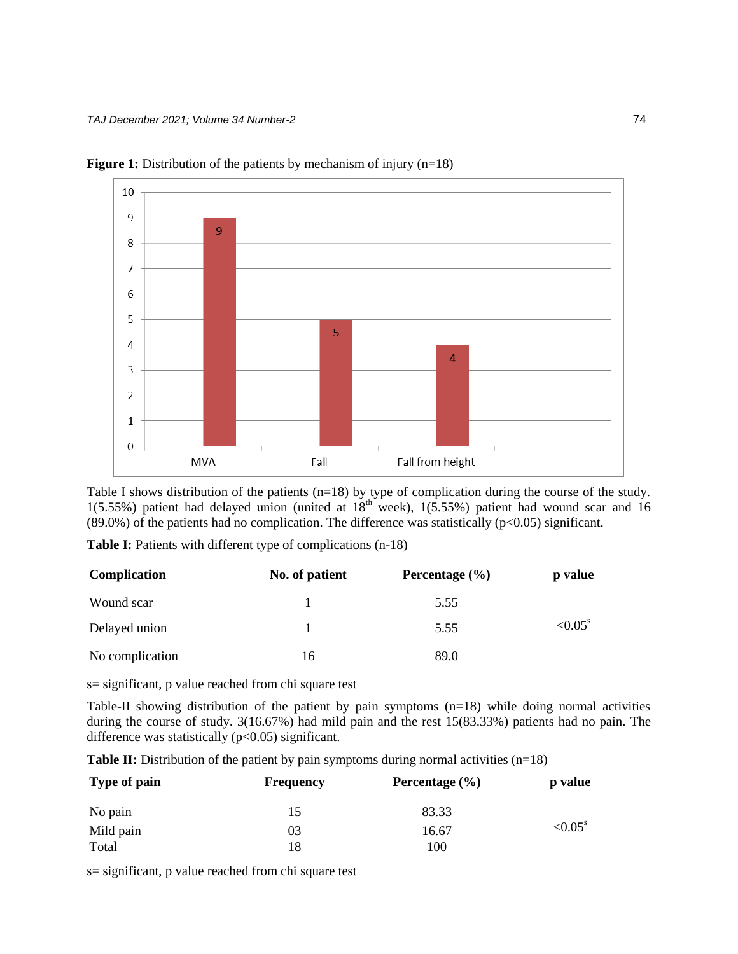

**Figure 1:** Distribution of the patients by mechanism of injury (n=18)

Table I shows distribution of the patients (n=18) by type of complication during the course of the study.  $1(5.55%)$  patient had delayed union (united at  $18<sup>th</sup>$  week),  $1(5.55%)$  patient had wound scar and 16  $(89.0\%)$  of the patients had no complication. The difference was statistically (p<0.05) significant.

Table I: Patients with different type of complications (n-18)

| Complication    | No. of patient | Percentage $(\% )$ | p value          |
|-----------------|----------------|--------------------|------------------|
| Wound scar      |                | 5.55               |                  |
| Delayed union   |                | 5.55               | $< 0.05^{\rm s}$ |
| No complication | 16             | 89.0               |                  |

s= significant, p value reached from chi square test

Table-II showing distribution of the patient by pain symptoms (n=18) while doing normal activities during the course of study. 3(16.67%) had mild pain and the rest 15(83.33%) patients had no pain. The difference was statistically  $(p<0.05)$  significant.

**Table II:** Distribution of the patient by pain symptoms during normal activities (n=18)

| Type of pain | <b>Frequency</b> | Percentage $(\% )$ | <b>p</b> value    |  |  |
|--------------|------------------|--------------------|-------------------|--|--|
| No pain      | 15               | 83.33              |                   |  |  |
| Mild pain    | 03               | 16.67              | ${<}0.05^{\rm s}$ |  |  |
| Total        | 18               | 100                |                   |  |  |

s= significant, p value reached from chi square test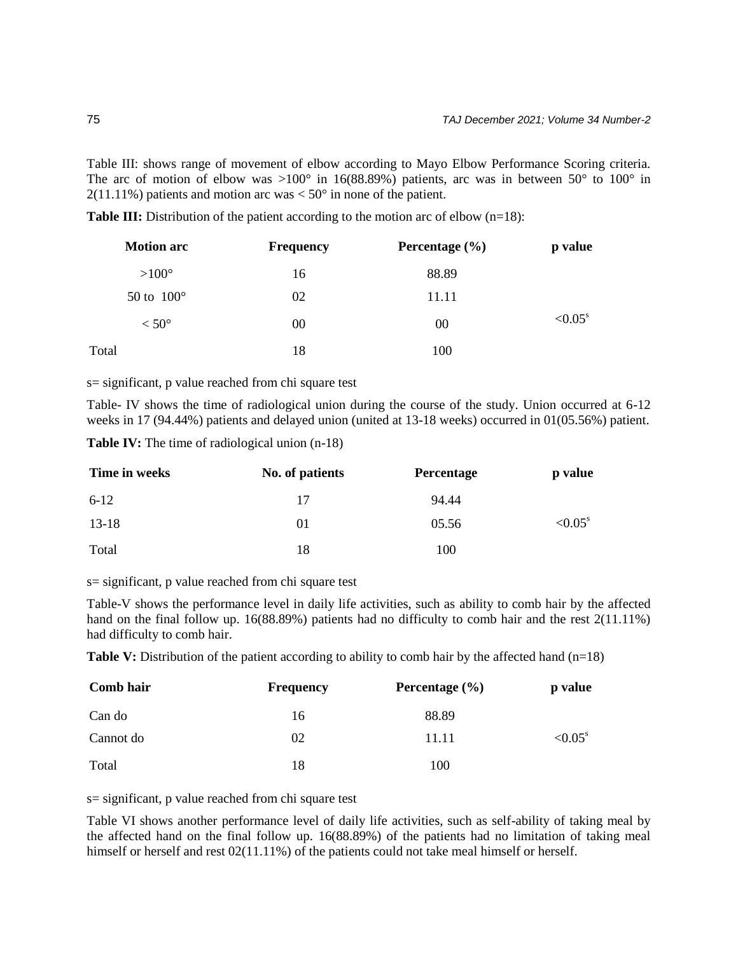Table III: shows range of movement of elbow according to Mayo Elbow Performance Scoring criteria. The arc of motion of elbow was  $>100^{\circ}$  in 16(88.89%) patients, arc was in between 50° to 100° in  $2(11.11\%)$  patients and motion arc was  $< 50^{\circ}$  in none of the patient.

**Table III:** Distribution of the patient according to the motion arc of elbow (n=18):

| <b>Motion arc</b> | <b>Frequency</b> | Percentage $(\% )$ | p value          |
|-------------------|------------------|--------------------|------------------|
| $>100^{\circ}$    | 16               | 88.89              |                  |
| 50 to $100^\circ$ | 02               | 11.11              |                  |
| $< 50^{\circ}$    | 00               | 00                 | $< 0.05^{\rm s}$ |
| Total             | 18               | 100                |                  |

s= significant, p value reached from chi square test

Table- IV shows the time of radiological union during the course of the study. Union occurred at 6-12 weeks in 17 (94.44%) patients and delayed union (united at 13-18 weeks) occurred in 01(05.56%) patient.

**Table IV:** The time of radiological union (n-18)

| Time in weeks | No. of patients | <b>Percentage</b> | p value           |
|---------------|-----------------|-------------------|-------------------|
| $6-12$        | 17              | 94.44             |                   |
| $13-18$       | 01              | 05.56             | ${<}0.05^{\rm s}$ |
| Total         | 18              | 100               |                   |

s= significant, p value reached from chi square test

Table-V shows the performance level in daily life activities, such as ability to comb hair by the affected hand on the final follow up. 16(88.89%) patients had no difficulty to comb hair and the rest 2(11.11%) had difficulty to comb hair.

**Table V:** Distribution of the patient according to ability to comb hair by the affected hand (n=18)

| Comb hair | <b>Frequency</b> | Percentage $(\% )$ | p value           |
|-----------|------------------|--------------------|-------------------|
| Can do    | 16               | 88.89              |                   |
| Cannot do | 02               | 11.11              | ${<}0.05^{\rm s}$ |
| Total     | 18               | 100                |                   |

s= significant, p value reached from chi square test

Table VI shows another performance level of daily life activities, such as self-ability of taking meal by the affected hand on the final follow up. 16(88.89%) of the patients had no limitation of taking meal himself or herself and rest  $02(11.11\%)$  of the patients could not take meal himself or herself.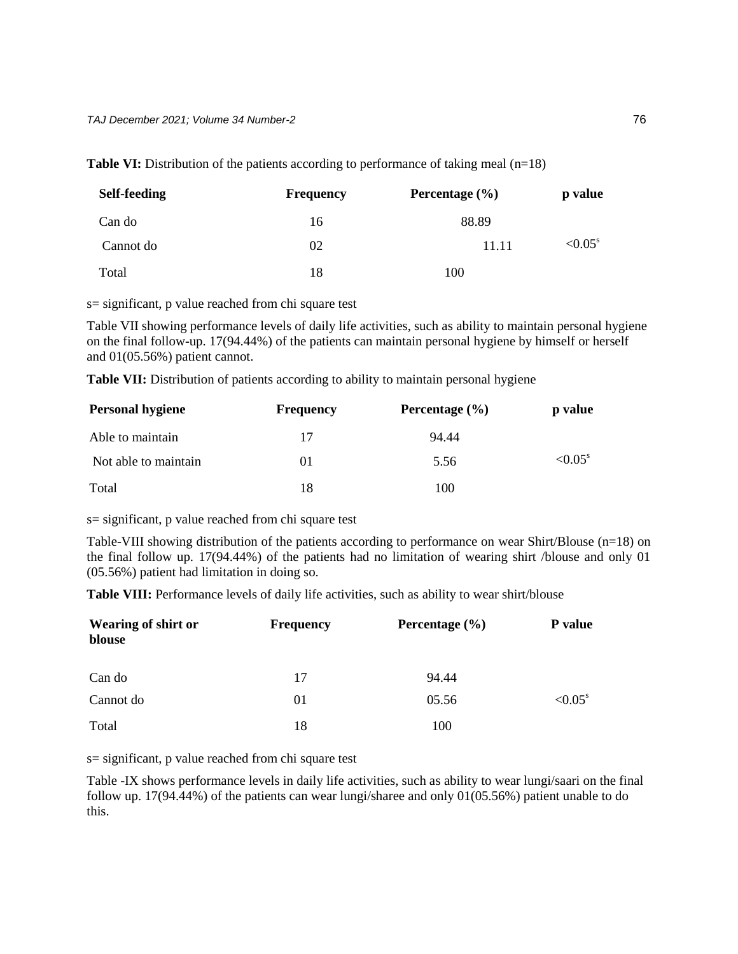| <b>Self-feeding</b> | <b>Frequency</b> | Percentage $(\% )$ | p value           |
|---------------------|------------------|--------------------|-------------------|
| Can do              | 16               | 88.89              |                   |
| Cannot do           | 02               | 11.11              | ${<}0.05^{\rm s}$ |
| Total               | 18               | 100                |                   |

**Table VI:** Distribution of the patients according to performance of taking meal (n=18)

s= significant, p value reached from chi square test

Table VII showing performance levels of daily life activities, such as ability to maintain personal hygiene on the final follow-up. 17(94.44%) of the patients can maintain personal hygiene by himself or herself and 01(05.56%) patient cannot.

Table VII: Distribution of patients according to ability to maintain personal hygiene

| <b>Personal hygiene</b> | <b>Frequency</b> | Percentage $(\% )$ | p value             |
|-------------------------|------------------|--------------------|---------------------|
| Able to maintain        | 17               | 94.44              |                     |
| Not able to maintain    | 01               | 5.56               | $\leq 0.05^{\rm s}$ |
| Total                   | 18               | 100                |                     |

s= significant, p value reached from chi square test

Table-VIII showing distribution of the patients according to performance on wear Shirt/Blouse (n=18) on the final follow up. 17(94.44%) of the patients had no limitation of wearing shirt /blouse and only 01 (05.56%) patient had limitation in doing so.

**Table VIII:** Performance levels of daily life activities, such as ability to wear shirt/blouse

| <b>Wearing of shirt or</b><br>blouse | <b>Frequency</b> | Percentage $(\% )$ | <b>P</b> value        |  |
|--------------------------------------|------------------|--------------------|-----------------------|--|
| Can do                               | 17               | 94.44              |                       |  |
| Cannot do                            | 01               | 05.56              | $< 0.05$ <sup>s</sup> |  |
| Total                                | 18               | 100                |                       |  |

s= significant, p value reached from chi square test

Table -IX shows performance levels in daily life activities, such as ability to wear lungi/saari on the final follow up. 17(94.44%) of the patients can wear lungi/sharee and only 01(05.56%) patient unable to do this.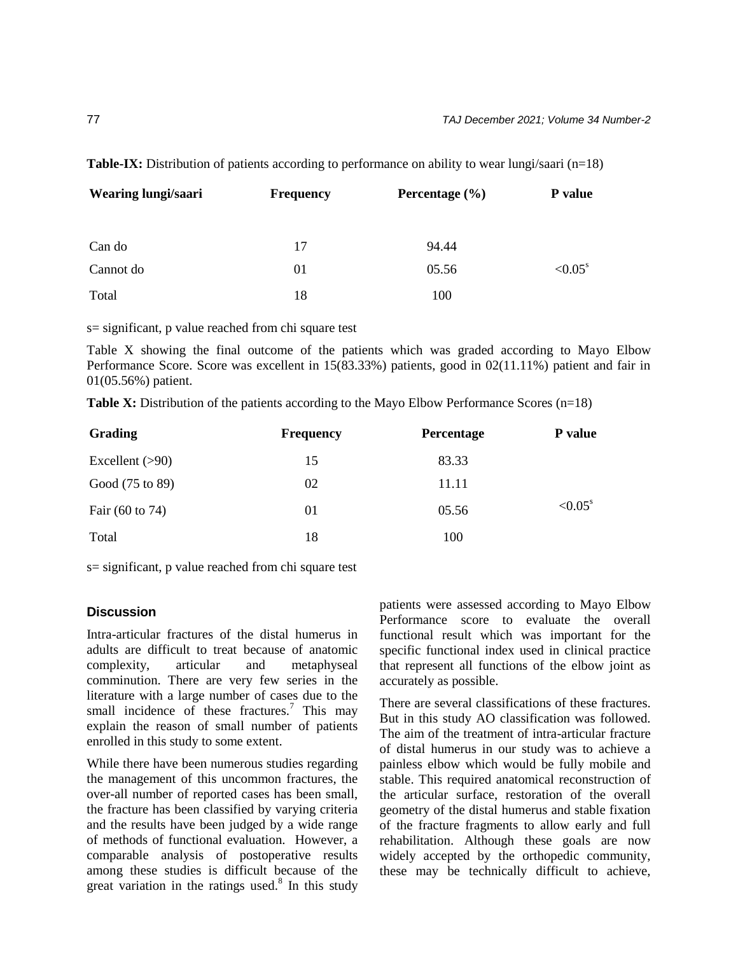| Wearing lungi/saari | <b>Frequency</b> | Percentage $(\% )$ | P value           |  |
|---------------------|------------------|--------------------|-------------------|--|
| Can do              | 17               | 94.44              |                   |  |
| Cannot do           | 01               | 05.56              | ${<}0.05^{\rm s}$ |  |
| Total               | 18               | 100                |                   |  |

**Table-IX:** Distribution of patients according to performance on ability to wear lungi/saari (n=18)

s= significant, p value reached from chi square test

Table X showing the final outcome of the patients which was graded according to Mayo Elbow Performance Score. Score was excellent in 15(83.33%) patients, good in 02(11.11%) patient and fair in 01(05.56%) patient.

|  |  |  |  |  | Table X: Distribution of the patients according to the Mayo Elbow Performance Scores $(n=18)$ |  |  |
|--|--|--|--|--|-----------------------------------------------------------------------------------------------|--|--|
|  |  |  |  |  |                                                                                               |  |  |

| Grading                    | <b>Frequency</b> | <b>Percentage</b> | P value               |
|----------------------------|------------------|-------------------|-----------------------|
| Excellent $(>90)$          | 15               | 83.33             |                       |
| Good (75 to 89)            | 02               | 11.11             |                       |
| Fair $(60 \text{ to } 74)$ | 01               | 05.56             | $< 0.05$ <sup>s</sup> |
| Total                      | 18               | 100               |                       |

s= significant, p value reached from chi square test

# **Discussion**

Intra-articular fractures of the distal humerus in adults are difficult to treat because of anatomic complexity, articular and metaphyseal comminution. There are very few series in the literature with a large number of cases due to the small incidence of these fractures.<sup>7</sup> This may explain the reason of small number of patients enrolled in this study to some extent.

While there have been numerous studies regarding the management of this uncommon fractures, the over-all number of reported cases has been small, the fracture has been classified by varying criteria and the results have been judged by a wide range of methods of functional evaluation. However, a comparable analysis of postoperative results among these studies is difficult because of the great variation in the ratings used. $8$  In this study patients were assessed according to Mayo Elbow Performance score to evaluate the overall functional result which was important for the specific functional index used in clinical practice that represent all functions of the elbow joint as accurately as possible.

There are several classifications of these fractures. But in this study AO classification was followed. The aim of the treatment of intra-articular fracture of distal humerus in our study was to achieve a painless elbow which would be fully mobile and stable. This required anatomical reconstruction of the articular surface, restoration of the overall geometry of the distal humerus and stable fixation of the fracture fragments to allow early and full rehabilitation. Although these goals are now widely accepted by the orthopedic community, these may be technically difficult to achieve,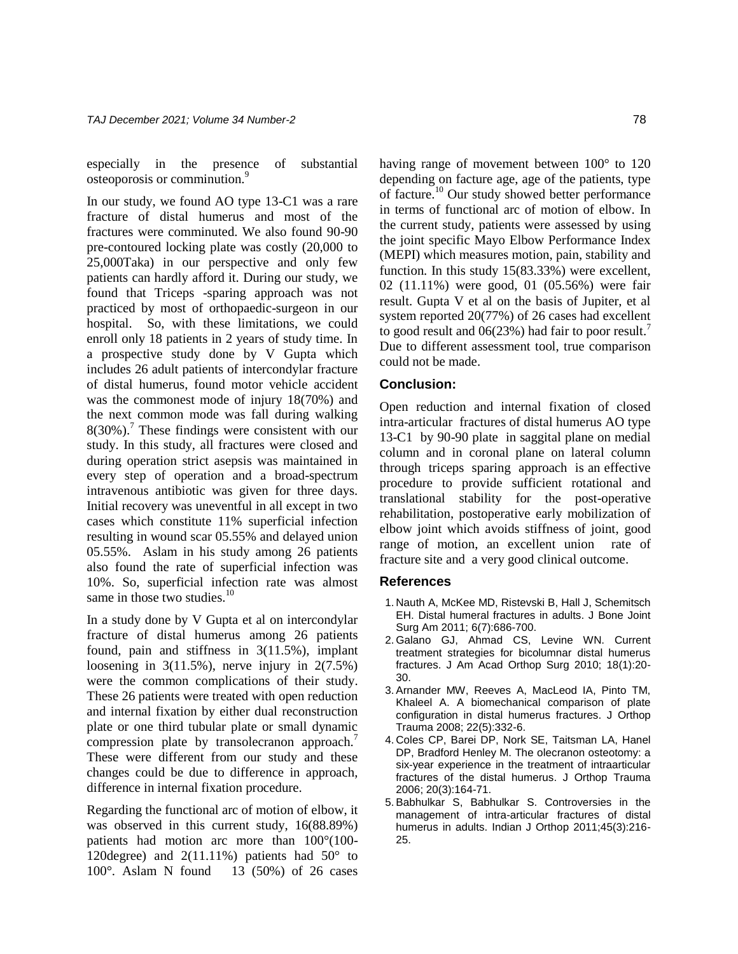especially in the presence of substantial osteoporosis or comminution.<sup>9</sup>

In our study, we found AO type 13-C1 was a rare fracture of distal humerus and most of the fractures were comminuted. We also found 90-90 pre-contoured locking plate was costly (20,000 to 25,000Taka) in our perspective and only few patients can hardly afford it. During our study, we found that Triceps -sparing approach was not practiced by most of orthopaedic-surgeon in our hospital. So, with these limitations, we could enroll only 18 patients in 2 years of study time. In a prospective study done by V Gupta which includes 26 adult patients of intercondylar fracture of distal humerus, found motor vehicle accident was the commonest mode of injury 18(70%) and the next common mode was fall during walking  $8(30\%)$ .<sup>7</sup> These findings were consistent with our study. In this study, all fractures were closed and during operation strict asepsis was maintained in every step of operation and a broad-spectrum intravenous antibiotic was given for three days. Initial recovery was uneventful in all except in two cases which constitute 11% superficial infection resulting in wound scar 05.55% and delayed union 05.55%. Aslam in his study among 26 patients also found the rate of superficial infection was 10%. So, superficial infection rate was almost same in those two studies.<sup>10</sup>

In a study done by V Gupta et al on intercondylar fracture of distal humerus among 26 patients found, pain and stiffness in 3(11.5%), implant loosening in  $3(11.5\%)$ , nerve injury in  $2(7.5\%)$ were the common complications of their study. These 26 patients were treated with open reduction and internal fixation by either dual reconstruction plate or one third tubular plate or small dynamic compression plate by transolecranon approach.<sup>7</sup> These were different from our study and these changes could be due to difference in approach, difference in internal fixation procedure.

Regarding the functional arc of motion of elbow, it was observed in this current study, 16(88.89%) patients had motion arc more than 100°(100- 120 degree) and  $2(11.11\%)$  patients had  $50^{\circ}$  to 100°. Aslam N found 13 (50%) of 26 cases

having range of movement between 100° to 120 depending on facture age, age of the patients, type of facture.<sup>10</sup> Our study showed better performance in terms of functional arc of motion of elbow. In the current study, patients were assessed by using the joint specific Mayo Elbow Performance Index (MEPI) which measures motion, pain, stability and function. In this study 15(83.33%) were excellent, 02 (11.11%) were good, 01 (05.56%) were fair result. Gupta V et al on the basis of Jupiter, et al system reported 20(77%) of 26 cases had excellent to good result and  $06(23%)$  had fair to poor result.<sup>7</sup> Due to different assessment tool, true comparison could not be made.

# **Conclusion:**

Open reduction and internal fixation of closed intra-articular fractures of distal humerus AO type 13-C1 by 90-90 plate in saggital plane on medial column and in coronal plane on lateral column through triceps sparing approach is an effective procedure to provide sufficient rotational and translational stability for the post-operative rehabilitation, postoperative early mobilization of elbow joint which avoids stiffness of joint, good range of motion, an excellent union rate of fracture site and a very good clinical outcome.

### **References**

- 1. Nauth A, McKee MD, Ristevski B, Hall J, Schemitsch EH. Distal humeral fractures in adults. J Bone Joint Surg Am 2011; 6(7):686-700.
- 2. Galano GJ, Ahmad CS, Levine WN. Current treatment strategies for bicolumnar distal humerus fractures. J Am Acad Orthop Surg 2010; 18(1):20- 30.
- 3.Arnander MW, Reeves A, MacLeod IA, Pinto TM, Khaleel A. A biomechanical comparison of plate configuration in distal humerus fractures. J Orthop Trauma 2008; 22(5):332-6.
- 4. Coles CP, Barei DP, Nork SE, Taitsman LA, Hanel DP, Bradford Henley M. The olecranon osteotomy: a six-year experience in the treatment of intraarticular fractures of the distal humerus. J Orthop Trauma 2006; 20(3):164-71.
- 5.Babhulkar S, Babhulkar S. Controversies in the management of intra-articular fractures of distal humerus in adults. Indian J Orthop 2011;45(3):216- 25.